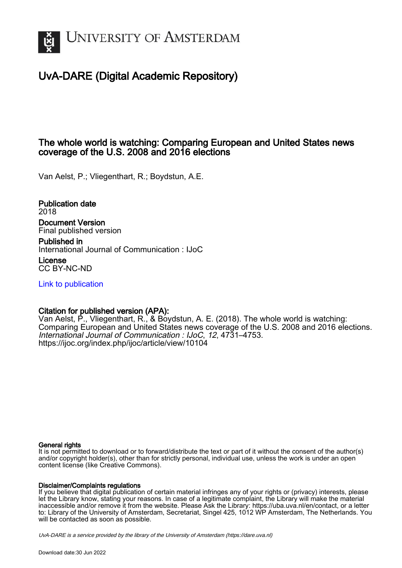

# UvA-DARE (Digital Academic Repository)

# The whole world is watching: Comparing European and United States news coverage of the U.S. 2008 and 2016 elections

Van Aelst, P.; Vliegenthart, R.; Boydstun, A.E.

Publication date 2018 Document Version Final published version

Published in International Journal of Communication : IJoC

License CC BY-NC-ND

[Link to publication](https://dare.uva.nl/personal/pure/en/publications/the-whole-world-is-watching-comparing-european-and-united-states-news-coverage-of-the-us-2008-and-2016-elections(94339492-f3c3-43bc-a9c6-2d9ef649f505).html)

# Citation for published version (APA):

Van Aelst, P., Vliegenthart, R., & Boydstun, A. E. (2018). The whole world is watching: Comparing European and United States news coverage of the U.S. 2008 and 2016 elections. International Journal of Communication : IJoC, 12, 4731–4753. <https://ijoc.org/index.php/ijoc/article/view/10104>

## General rights

It is not permitted to download or to forward/distribute the text or part of it without the consent of the author(s) and/or copyright holder(s), other than for strictly personal, individual use, unless the work is under an open content license (like Creative Commons).

## Disclaimer/Complaints regulations

If you believe that digital publication of certain material infringes any of your rights or (privacy) interests, please let the Library know, stating your reasons. In case of a legitimate complaint, the Library will make the material inaccessible and/or remove it from the website. Please Ask the Library: https://uba.uva.nl/en/contact, or a letter to: Library of the University of Amsterdam, Secretariat, Singel 425, 1012 WP Amsterdam, The Netherlands. You will be contacted as soon as possible.

UvA-DARE is a service provided by the library of the University of Amsterdam (http*s*://dare.uva.nl)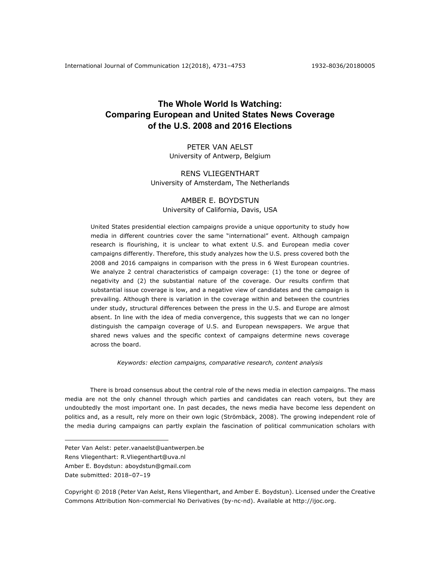# **The Whole World Is Watching: Comparing European and United States News Coverage of the U.S. 2008 and 2016 Elections**

# PETER VAN AELST University of Antwerp, Belgium

# RENS VLIEGENTHART University of Amsterdam, The Netherlands

### AMBER E. BOYDSTUN University of California, Davis, USA

United States presidential election campaigns provide a unique opportunity to study how media in different countries cover the same "international" event. Although campaign research is flourishing, it is unclear to what extent U.S. and European media cover campaigns differently. Therefore, this study analyzes how the U.S. press covered both the 2008 and 2016 campaigns in comparison with the press in 6 West European countries. We analyze 2 central characteristics of campaign coverage: (1) the tone or degree of negativity and (2) the substantial nature of the coverage. Our results confirm that substantial issue coverage is low, and a negative view of candidates and the campaign is prevailing. Although there is variation in the coverage within and between the countries under study, structural differences between the press in the U.S. and Europe are almost absent. In line with the idea of media convergence, this suggests that we can no longer distinguish the campaign coverage of U.S. and European newspapers. We argue that shared news values and the specific context of campaigns determine news coverage across the board.

*Keywords: election campaigns, comparative research, content analysis*

There is broad consensus about the central role of the news media in election campaigns. The mass media are not the only channel through which parties and candidates can reach voters, but they are undoubtedly the most important one. In past decades, the news media have become less dependent on politics and, as a result, rely more on their own logic (Strömbäck, 2008). The growing independent role of the media during campaigns can partly explain the fascination of political communication scholars with

 $\overline{a}$ 

Peter Van Aelst: peter.vanaelst@uantwerpen.be

Rens Vliegenthart: R.Vliegenthart@uva.nl

Amber E. Boydstun: aboydstun@gmail.com

Date submitted: 2018-07-19

Copyright © 2018 (Peter Van Aelst, Rens Vliegenthart, and Amber E. Boydstun). Licensed under the Creative Commons Attribution Non-commercial No Derivatives (by-nc-nd). Available at http://ijoc.org.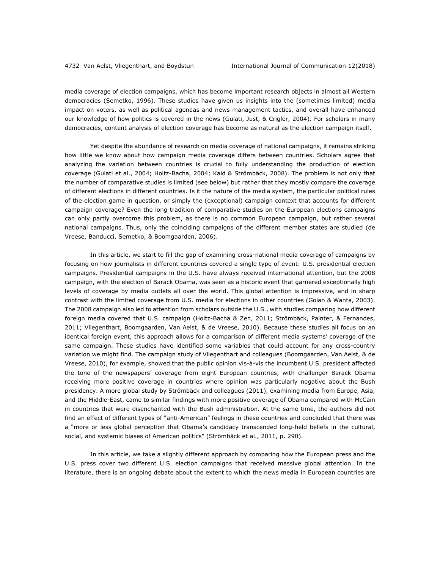media coverage of election campaigns, which has become important research objects in almost all Western democracies (Semetko, 1996). These studies have given us insights into the (sometimes limited) media impact on voters, as well as political agendas and news management tactics, and overall have enhanced our knowledge of how politics is covered in the news (Gulati, Just, & Crigler, 2004). For scholars in many democracies, content analysis of election coverage has become as natural as the election campaign itself.

Yet despite the abundance of research on media coverage of national campaigns, it remains striking how little we know about how campaign media coverage differs between countries. Scholars agree that analyzing the variation between countries is crucial to fully understanding the production of election coverage (Gulati et al., 2004; Holtz-Bacha, 2004; Kaid & Strömbäck, 2008). The problem is not only that the number of comparative studies is limited (see below) but rather that they mostly compare the coverage of different elections in different countries. Is it the nature of the media system, the particular political rules of the election game in question, or simply the (exceptional) campaign context that accounts for different campaign coverage? Even the long tradition of comparative studies on the European elections campaigns can only partly overcome this problem, as there is no common European campaign, but rather several national campaigns. Thus, only the coinciding campaigns of the different member states are studied (de Vreese, Banducci, Semetko, & Boomgaarden, 2006).

In this article, we start to fill the gap of examining cross-national media coverage of campaigns by focusing on how journalists in different countries covered a single type of event: U.S. presidential election campaigns. Presidential campaigns in the U.S. have always received international attention, but the 2008 campaign, with the election of Barack Obama, was seen as a historic event that garnered exceptionally high levels of coverage by media outlets all over the world. This global attention is impressive, and in sharp contrast with the limited coverage from U.S. media for elections in other countries (Golan & Wanta, 2003). The 2008 campaign also led to attention from scholars outside the U.S., with studies comparing how different foreign media covered that U.S. campaign (Holtz-Bacha & Zeh, 2011; Strömbäck, Painter, & Fernandes, 2011; Vliegenthart, Boomgaarden, Van Aelst, & de Vreese, 2010). Because these studies all focus on an identical foreign event, this approach allows for a comparison of different media systems' coverage of the same campaign. These studies have identified some variables that could account for any cross-country variation we might find. The campaign study of Vliegenthart and colleagues (Boomgaarden, Van Aelst, & de Vreese, 2010), for example, showed that the public opinion vis-à-vis the incumbent U.S. president affected the tone of the newspapers' coverage from eight European countries, with challenger Barack Obama receiving more positive coverage in countries where opinion was particularly negative about the Bush presidency. A more global study by Strömbäck and colleagues (2011), examining media from Europe, Asia, and the Middle-East, came to similar findings with more positive coverage of Obama compared with McCain in countries that were disenchanted with the Bush administration. At the same time, the authors did not find an effect of different types of "anti-American" feelings in these countries and concluded that there was a "more or less global perception that Obama's candidacy transcended long-held beliefs in the cultural, social, and systemic biases of American politics" (Strömbäck et al., 2011, p. 290).

In this article, we take a slightly different approach by comparing how the European press and the U.S. press cover two different U.S. election campaigns that received massive global attention. In the literature, there is an ongoing debate about the extent to which the news media in European countries are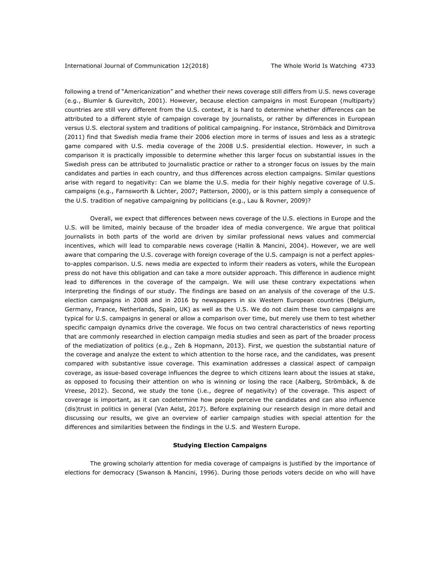following a trend of "Americanization" and whether their news coverage still differs from U.S. news coverage (e.g., Blumler & Gurevitch, 2001). However, because election campaigns in most European (multiparty) countries are still very different from the U.S. context, it is hard to determine whether differences can be attributed to a different style of campaign coverage by journalists, or rather by differences in European versus U.S. electoral system and traditions of political campaigning. For instance, Strömbäck and Dimitrova (2011) find that Swedish media frame their 2006 election more in terms of issues and less as a strategic game compared with U.S. media coverage of the 2008 U.S. presidential election. However, in such a comparison it is practically impossible to determine whether this larger focus on substantial issues in the Swedish press can be attributed to journalistic practice or rather to a stronger focus on issues by the main candidates and parties in each country, and thus differences across election campaigns. Similar questions arise with regard to negativity: Can we blame the U.S. media for their highly negative coverage of U.S. campaigns (e.g., Farnsworth & Lichter, 2007; Patterson, 2000), or is this pattern simply a consequence of the U.S. tradition of negative campaigning by politicians (e.g., Lau & Rovner, 2009)?

Overall, we expect that differences between news coverage of the U.S. elections in Europe and the U.S. will be limited, mainly because of the broader idea of media convergence. We argue that political journalists in both parts of the world are driven by similar professional news values and commercial incentives, which will lead to comparable news coverage (Hallin & Mancini, 2004). However, we are well aware that comparing the U.S. coverage with foreign coverage of the U.S. campaign is not a perfect applesto-apples comparison. U.S. news media are expected to inform their readers as voters, while the European press do not have this obligation and can take a more outsider approach. This difference in audience might lead to differences in the coverage of the campaign. We will use these contrary expectations when interpreting the findings of our study. The findings are based on an analysis of the coverage of the U.S. election campaigns in 2008 and in 2016 by newspapers in six Western European countries (Belgium, Germany, France, Netherlands, Spain, UK) as well as the U.S. We do not claim these two campaigns are typical for U.S. campaigns in general or allow a comparison over time, but merely use them to test whether specific campaign dynamics drive the coverage. We focus on two central characteristics of news reporting that are commonly researched in election campaign media studies and seen as part of the broader process of the mediatization of politics (e.g., Zeh & Hopmann, 2013). First, we question the substantial nature of the coverage and analyze the extent to which attention to the horse race, and the candidates, was present compared with substantive issue coverage. This examination addresses a classical aspect of campaign coverage, as issue-based coverage influences the degree to which citizens learn about the issues at stake, as opposed to focusing their attention on who is winning or losing the race (Aalberg, Strömbäck, & de Vreese, 2012). Second, we study the tone (i.e., degree of negativity) of the coverage. This aspect of coverage is important, as it can codetermine how people perceive the candidates and can also influence (dis)trust in politics in general (Van Aelst, 2017). Before explaining our research design in more detail and discussing our results, we give an overview of earlier campaign studies with special attention for the differences and similarities between the findings in the U.S. and Western Europe.

#### **Studying Election Campaigns**

The growing scholarly attention for media coverage of campaigns is justified by the importance of elections for democracy (Swanson & Mancini, 1996). During those periods voters decide on who will have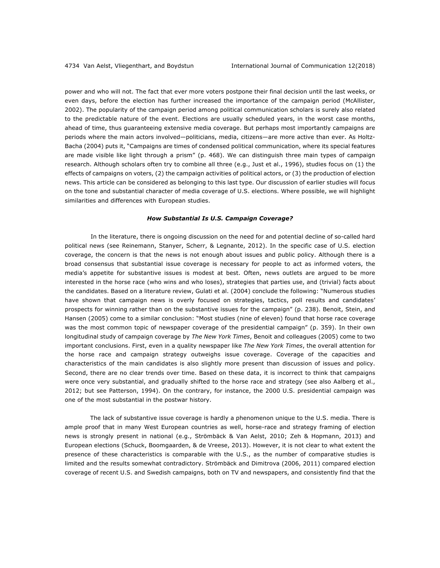power and who will not. The fact that ever more voters postpone their final decision until the last weeks, or even days, before the election has further increased the importance of the campaign period (McAllister, 2002). The popularity of the campaign period among political communication scholars is surely also related to the predictable nature of the event. Elections are usually scheduled years, in the worst case months, ahead of time, thus guaranteeing extensive media coverage. But perhaps most importantly campaigns are periods where the main actors involved—politicians, media, citizens—are more active than ever. As Holtz-Bacha (2004) puts it, "Campaigns are times of condensed political communication, where its special features are made visible like light through a prism" (p. 468). We can distinguish three main types of campaign research. Although scholars often try to combine all three (e.g., Just et al., 1996), studies focus on (1) the effects of campaigns on voters, (2) the campaign activities of political actors, or (3) the production of election news. This article can be considered as belonging to this last type. Our discussion of earlier studies will focus on the tone and substantial character of media coverage of U.S. elections. Where possible, we will highlight similarities and differences with European studies.

#### *How Substantial Is U.S. Campaign Coverage?*

In the literature, there is ongoing discussion on the need for and potential decline of so-called hard political news (see Reinemann, Stanyer, Scherr, & Legnante, 2012). In the specific case of U.S. election coverage, the concern is that the news is not enough about issues and public policy. Although there is a broad consensus that substantial issue coverage is necessary for people to act as informed voters, the media's appetite for substantive issues is modest at best. Often, news outlets are argued to be more interested in the horse race (who wins and who loses), strategies that parties use, and (trivial) facts about the candidates. Based on a literature review, Gulati et al. (2004) conclude the following: "Numerous studies have shown that campaign news is overly focused on strategies, tactics, poll results and candidates' prospects for winning rather than on the substantive issues for the campaign" (p. 238). Benoit, Stein, and Hansen (2005) come to a similar conclusion: "Most studies (nine of eleven) found that horse race coverage was the most common topic of newspaper coverage of the presidential campaign" (p. 359). In their own longitudinal study of campaign coverage by *The New York Times*, Benoit and colleagues (2005) come to two important conclusions. First, even in a quality newspaper like *The New York Times*, the overall attention for the horse race and campaign strategy outweighs issue coverage. Coverage of the capacities and characteristics of the main candidates is also slightly more present than discussion of issues and policy. Second, there are no clear trends over time. Based on these data, it is incorrect to think that campaigns were once very substantial, and gradually shifted to the horse race and strategy (see also Aalberg et al., 2012; but see Patterson, 1994). On the contrary, for instance, the 2000 U.S. presidential campaign was one of the most substantial in the postwar history.

The lack of substantive issue coverage is hardly a phenomenon unique to the U.S. media. There is ample proof that in many West European countries as well, horse-race and strategy framing of election news is strongly present in national (e.g., Strömbäck & Van Aelst, 2010; Zeh & Hopmann, 2013) and European elections (Schuck, Boomgaarden, & de Vreese, 2013). However, it is not clear to what extent the presence of these characteristics is comparable with the U.S., as the number of comparative studies is limited and the results somewhat contradictory. Strömbäck and Dimitrova (2006, 2011) compared election coverage of recent U.S. and Swedish campaigns, both on TV and newspapers, and consistently find that the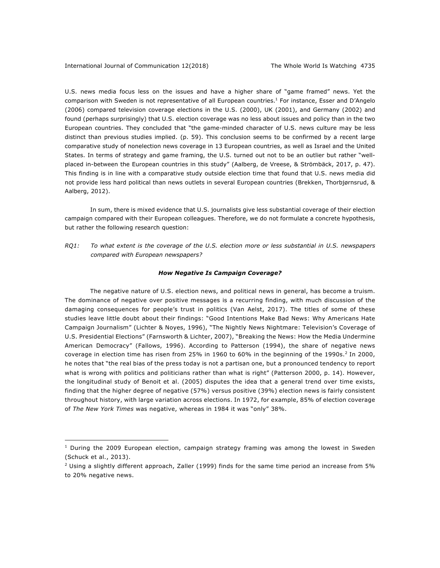$\overline{a}$ 

U.S. news media focus less on the issues and have a higher share of "game framed" news. Yet the comparison with Sweden is not representative of all European countries.<sup>1</sup> For instance, Esser and D'Angelo (2006) compared television coverage elections in the U.S. (2000), UK (2001), and Germany (2002) and found (perhaps surprisingly) that U.S. election coverage was no less about issues and policy than in the two European countries. They concluded that "the game-minded character of U.S. news culture may be less distinct than previous studies implied. (p. 59). This conclusion seems to be confirmed by a recent large comparative study of nonelection news coverage in 13 European countries, as well as Israel and the United States. In terms of strategy and game framing, the U.S. turned out not to be an outlier but rather "wellplaced in-between the European countries in this study" (Aalberg, de Vreese, & Strömbäck, 2017, p. 47). This finding is in line with a comparative study outside election time that found that U.S. news media did not provide less hard political than news outlets in several European countries (Brekken, Thorbjørnsrud, & Aalberg, 2012).

In sum, there is mixed evidence that U.S. journalists give less substantial coverage of their election campaign compared with their European colleagues. Therefore, we do not formulate a concrete hypothesis, but rather the following research question:

*RQ1: To what extent is the coverage of the U.S. election more or less substantial in U.S. newspapers compared with European newspapers?* 

#### *How Negative Is Campaign Coverage?*

The negative nature of U.S. election news, and political news in general, has become a truism. The dominance of negative over positive messages is a recurring finding, with much discussion of the damaging consequences for people's trust in politics (Van Aelst, 2017). The titles of some of these studies leave little doubt about their findings: "Good Intentions Make Bad News: Why Americans Hate Campaign Journalism" (Lichter & Noyes, 1996), "The Nightly News Nightmare: Television's Coverage of U.S. Presidential Elections" (Farnsworth & Lichter, 2007), "Breaking the News: How the Media Undermine American Democracy" (Fallows, 1996). According to Patterson (1994), the share of negative news coverage in election time has risen from 25% in 1960 to 60% in the beginning of the 1990s.<sup>2</sup> In 2000, he notes that "the real bias of the press today is not a partisan one, but a pronounced tendency to report what is wrong with politics and politicians rather than what is right" (Patterson 2000, p. 14). However, the longitudinal study of Benoit et al. (2005) disputes the idea that a general trend over time exists, finding that the higher degree of negative (57%) versus positive (39%) election news is fairly consistent throughout history, with large variation across elections. In 1972, for example, 85% of election coverage of *The New York Times* was negative, whereas in 1984 it was "only" 38%.

 $1$  During the 2009 European election, campaign strategy framing was among the lowest in Sweden (Schuck et al., 2013).

<sup>&</sup>lt;sup>2</sup> Using a slightly different approach, Zaller (1999) finds for the same time period an increase from 5% to 20% negative news.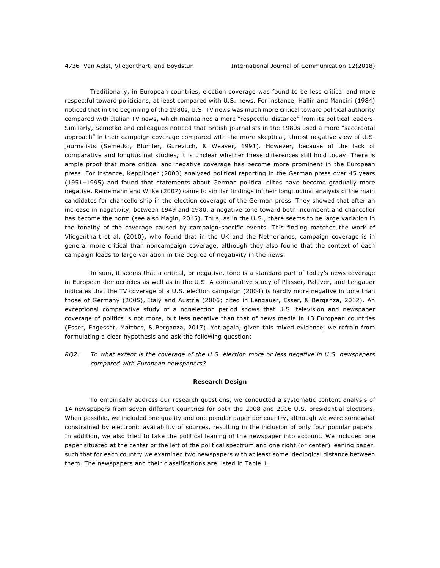Traditionally, in European countries, election coverage was found to be less critical and more respectful toward politicians, at least compared with U.S. news. For instance, Hallin and Mancini (1984) noticed that in the beginning of the 1980s, U.S. TV news was much more critical toward political authority compared with Italian TV news, which maintained a more "respectful distance" from its political leaders. Similarly, Semetko and colleagues noticed that British journalists in the 1980s used a more "sacerdotal approach" in their campaign coverage compared with the more skeptical, almost negative view of U.S. journalists (Semetko, Blumler, Gurevitch, & Weaver, 1991). However, because of the lack of comparative and longitudinal studies, it is unclear whether these differences still hold today. There is ample proof that more critical and negative coverage has become more prominent in the European press. For instance, Kepplinger (2000) analyzed political reporting in the German press over 45 years (1951-1995) and found that statements about German political elites have become gradually more negative. Reinemann and Wilke (2007) came to similar findings in their longitudinal analysis of the main candidates for chancellorship in the election coverage of the German press. They showed that after an increase in negativity, between 1949 and 1980, a negative tone toward both incumbent and chancellor has become the norm (see also Magin, 2015). Thus, as in the U.S., there seems to be large variation in the tonality of the coverage caused by campaign-specific events. This finding matches the work of Vliegenthart et al. (2010), who found that in the UK and the Netherlands, campaign coverage is in general more critical than noncampaign coverage, although they also found that the context of each campaign leads to large variation in the degree of negativity in the news.

In sum, it seems that a critical, or negative, tone is a standard part of today's news coverage in European democracies as well as in the U.S. A comparative study of Plasser, Palaver, and Lengauer indicates that the TV coverage of a U.S. election campaign (2004) is hardly more negative in tone than those of Germany (2005), Italy and Austria (2006; cited in Lengauer, Esser, & Berganza, 2012). An exceptional comparative study of a nonelection period shows that U.S. television and newspaper coverage of politics is not more, but less negative than that of news media in 13 European countries (Esser, Engesser, Matthes, & Berganza, 2017). Yet again, given this mixed evidence, we refrain from formulating a clear hypothesis and ask the following question:

*RQ2: To what extent is the coverage of the U.S. election more or less negative in U.S. newspapers compared with European newspapers?* 

#### **Research Design**

To empirically address our research questions, we conducted a systematic content analysis of 14 newspapers from seven different countries for both the 2008 and 2016 U.S. presidential elections. When possible, we included one quality and one popular paper per country, although we were somewhat constrained by electronic availability of sources, resulting in the inclusion of only four popular papers. In addition, we also tried to take the political leaning of the newspaper into account. We included one paper situated at the center or the left of the political spectrum and one right (or center) leaning paper, such that for each country we examined two newspapers with at least some ideological distance between them. The newspapers and their classifications are listed in Table 1.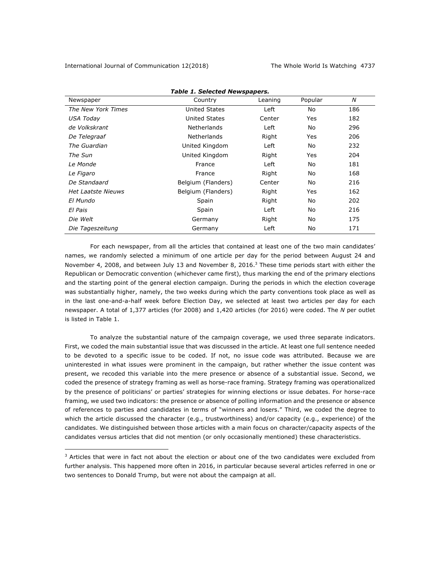$\overline{a}$ 

|                           | rable 1. Selected hewspapers. |         |         |     |
|---------------------------|-------------------------------|---------|---------|-----|
| Newspaper                 | Country                       | Leaning | Popular | N   |
| The New York Times        | <b>United States</b>          | Left    | No      | 186 |
| USA Today                 | <b>United States</b>          | Center  | Yes     | 182 |
| de Volkskrant             | <b>Netherlands</b>            | Left    | No      | 296 |
| De Telegraaf              | <b>Netherlands</b>            | Right   | Yes     | 206 |
| The Guardian              | United Kingdom                | Left    | No      | 232 |
| The Sun                   | United Kingdom                | Right   | Yes     | 204 |
| Le Monde                  | France                        | Left    | No      | 181 |
| Le Figaro                 | France                        | Right   | No      | 168 |
| De Standaard              | Belgium (Flanders)            | Center  | No      | 216 |
| <b>Het Laatste Nieuws</b> | Belgium (Flanders)            | Right   | Yes     | 162 |
| El Mundo                  | Spain                         | Right   | No      | 202 |
| El Pais                   | Spain                         | Left    | No      | 216 |
| Die Welt                  | Germany                       | Right   | No      | 175 |
| Die Tageszeitung          | Germany                       | Left    | No      | 171 |

### *Table 1. Selected Newspapers.*

For each newspaper, from all the articles that contained at least one of the two main candidates' names, we randomly selected a minimum of one article per day for the period between August 24 and November 4, 2008, and between July 13 and November 8, 2016.<sup>3</sup> These time periods start with either the Republican or Democratic convention (whichever came first), thus marking the end of the primary elections and the starting point of the general election campaign. During the periods in which the election coverage was substantially higher, namely, the two weeks during which the party conventions took place as well as in the last one-and-a-half week before Election Day, we selected at least two articles per day for each newspaper. A total of 1,377 articles (for 2008) and 1,420 articles (for 2016) were coded. The *N* per outlet is listed in Table 1.

To analyze the substantial nature of the campaign coverage, we used three separate indicators. First, we coded the main substantial issue that was discussed in the article. At least one full sentence needed to be devoted to a specific issue to be coded. If not, no issue code was attributed. Because we are uninterested in what issues were prominent in the campaign, but rather whether the issue content was present, we recoded this variable into the mere presence or absence of a substantial issue. Second, we coded the presence of strategy framing as well as horse-race framing. Strategy framing was operationalized by the presence of politicians' or parties' strategies for winning elections or issue debates. For horse-race framing, we used two indicators: the presence or absence of polling information and the presence or absence of references to parties and candidates in terms of "winners and losers." Third, we coded the degree to which the article discussed the character (e.g., trustworthiness) and/or capacity (e.g., experience) of the candidates. We distinguished between those articles with a main focus on character/capacity aspects of the candidates versus articles that did not mention (or only occasionally mentioned) these characteristics.

 $3$  Articles that were in fact not about the election or about one of the two candidates were excluded from further analysis. This happened more often in 2016, in particular because several articles referred in one or two sentences to Donald Trump, but were not about the campaign at all.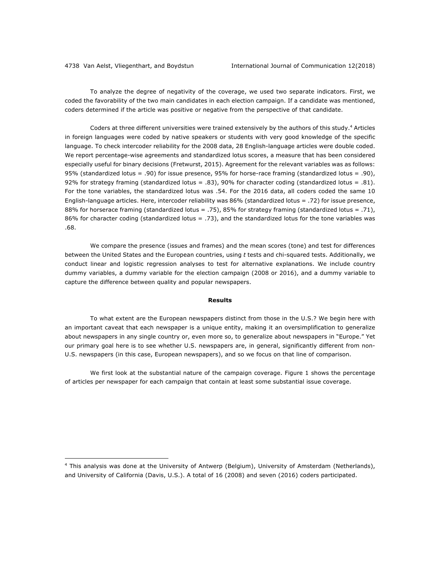$\overline{a}$ 

To analyze the degree of negativity of the coverage, we used two separate indicators. First, we coded the favorability of the two main candidates in each election campaign. If a candidate was mentioned, coders determined if the article was positive or negative from the perspective of that candidate.

Coders at three different universities were trained extensively by the authors of this study.<sup>4</sup> Articles in foreign languages were coded by native speakers or students with very good knowledge of the specific language. To check intercoder reliability for the 2008 data, 28 English-language articles were double coded. We report percentage-wise agreements and standardized lotus scores, a measure that has been considered especially useful for binary decisions (Fretwurst, 2015). Agreement for the relevant variables was as follows: 95% (standardized lotus = .90) for issue presence, 95% for horse-race framing (standardized lotus = .90), 92% for strategy framing (standardized lotus = .83), 90% for character coding (standardized lotus = .81). For the tone variables, the standardized lotus was .54. For the 2016 data, all coders coded the same 10 English-language articles. Here, intercoder reliability was 86% (standardized lotus = .72) for issue presence, 88% for horserace framing (standardized lotus = .75), 85% for strategy framing (standardized lotus = .71), 86% for character coding (standardized lotus = .73), and the standardized lotus for the tone variables was .68.

We compare the presence (issues and frames) and the mean scores (tone) and test for differences between the United States and the European countries, using *t* tests and chi-squared tests. Additionally, we conduct linear and logistic regression analyses to test for alternative explanations. We include country dummy variables, a dummy variable for the election campaign (2008 or 2016), and a dummy variable to capture the difference between quality and popular newspapers.

#### **Results**

To what extent are the European newspapers distinct from those in the U.S.? We begin here with an important caveat that each newspaper is a unique entity, making it an oversimplification to generalize about newspapers in any single country or, even more so, to generalize about newspapers in "Europe." Yet our primary goal here is to see whether U.S. newspapers are, in general, significantly different from non-U.S. newspapers (in this case, European newspapers), and so we focus on that line of comparison.

We first look at the substantial nature of the campaign coverage. Figure 1 shows the percentage of articles per newspaper for each campaign that contain at least some substantial issue coverage.

<sup>4</sup> This analysis was done at the University of Antwerp (Belgium), University of Amsterdam (Netherlands), and University of California (Davis, U.S.). A total of 16 (2008) and seven (2016) coders participated.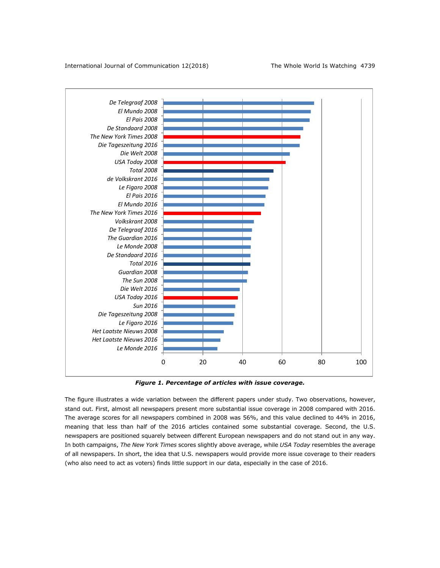

*Figure 1. Percentage of articles with issue coverage.*

The figure illustrates a wide variation between the different papers under study. Two observations, however, stand out. First, almost all newspapers present more substantial issue coverage in 2008 compared with 2016. The average scores for all newspapers combined in 2008 was 56%, and this value declined to 44% in 2016, meaning that less than half of the 2016 articles contained some substantial coverage. Second, the U.S. newspapers are positioned squarely between different European newspapers and do not stand out in any way. In both campaigns, *The New York Times* scores slightly above average, while *USA Today* resembles the average of all newspapers. In short, the idea that U.S. newspapers would provide more issue coverage to their readers (who also need to act as voters) finds little support in our data, especially in the case of 2016.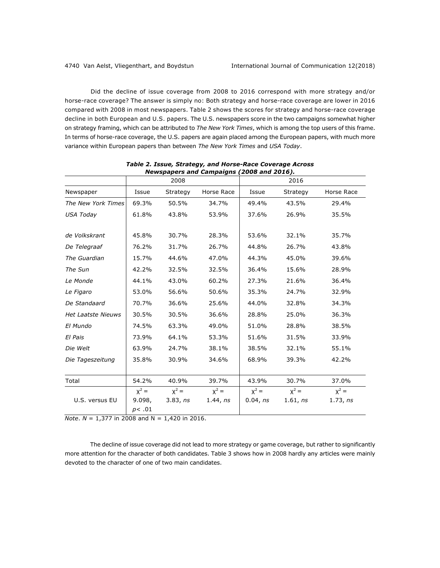Did the decline of issue coverage from 2008 to 2016 correspond with more strategy and/or horse-race coverage? The answer is simply no: Both strategy and horse-race coverage are lower in 2016 compared with 2008 in most newspapers. Table 2 shows the scores for strategy and horse-race coverage decline in both European and U.S. papers. The U.S. newspapers score in the two campaigns somewhat higher on strategy framing, which can be attributed to *The New York Times*, which is among the top users of this frame. In terms of horse-race coverage, the U.S. papers are again placed among the European papers, with much more variance within European papers than between *The New York Times* and *USA Today*.

|                           |                 |          | Newspapers and Campaigns (2008 and 2016). |          |          |            |
|---------------------------|-----------------|----------|-------------------------------------------|----------|----------|------------|
|                           |                 | 2008     |                                           |          | 2016     |            |
| Newspaper                 | Issue           | Strategy | Horse Race                                | Issue    | Strategy | Horse Race |
| The New York Times        | 69.3%           | 50.5%    | 34.7%                                     | 49.4%    | 43.5%    | 29.4%      |
| USA Today                 | 61.8%           | 43.8%    | 53.9%                                     | 37.6%    | 26.9%    | 35.5%      |
| de Volkskrant             | 45.8%           | 30.7%    | 28.3%                                     | 53.6%    | 32.1%    | 35.7%      |
| De Telegraaf              | 76.2%           | 31.7%    | 26.7%                                     | 44.8%    | 26.7%    | 43.8%      |
| The Guardian              | 15.7%           | 44.6%    | 47.0%                                     | 44.3%    | 45.0%    | 39.6%      |
| The Sun                   | 42.2%           | 32.5%    | 32.5%                                     | 36.4%    | 15.6%    | 28.9%      |
| Le Monde                  | 44.1%           | 43.0%    | 60.2%                                     | 27.3%    | 21.6%    | 36.4%      |
| Le Figaro                 | 53.0%           | 56.6%    | 50.6%                                     | 35.3%    | 24.7%    | 32.9%      |
| De Standaard              | 70.7%           | 36.6%    | 25.6%                                     | 44.0%    | 32.8%    | 34.3%      |
| <b>Het Laatste Nieuws</b> | 30.5%           | 30.5%    | 36.6%                                     | 28.8%    | 25.0%    | 36.3%      |
| El Mundo                  | 74.5%           | 63.3%    | 49.0%                                     | 51.0%    | 28.8%    | 38.5%      |
| El Pais                   | 73.9%           | 64.1%    | 53.3%                                     | 51.6%    | 31.5%    | 33.9%      |
| Die Welt                  | 63.9%           | 24.7%    | 38.1%                                     | 38.5%    | 32.1%    | 55.1%      |
| Die Tageszeitung          | 35.8%           | 30.9%    | 34.6%                                     | 68.9%    | 39.3%    | 42.2%      |
| Total                     | 54.2%           | 40.9%    | 39.7%                                     | 43.9%    | 30.7%    | 37.0%      |
|                           | $x^2 =$         | $x^2 =$  | $x^2 =$                                   | $x^2 =$  | $x^2 =$  | $x^2 =$    |
| U.S. versus EU            | 9.098,<br>p<.01 | 3.83, ns | 1.44, ns                                  | 0.04, ns | 1.61, ns | 1.73, ns   |

*Table 2. Issue, Strategy, and Horse-Race Coverage Across Newspapers and Campaigns (2008 and 2016).*

*Note*. *N* = 1,377 in 2008 and N = 1,420 in 2016.

The decline of issue coverage did not lead to more strategy or game coverage, but rather to significantly more attention for the character of both candidates. Table 3 shows how in 2008 hardly any articles were mainly devoted to the character of one of two main candidates.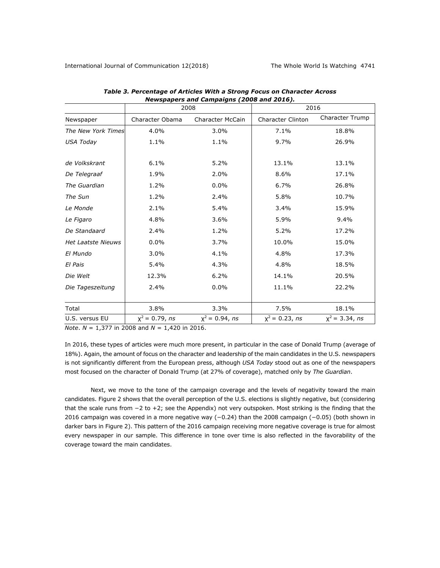|                           |                   | 2008                    | 2016                     |                        |
|---------------------------|-------------------|-------------------------|--------------------------|------------------------|
| Newspaper                 | Character Obama   | <b>Character McCain</b> | <b>Character Clinton</b> | <b>Character Trump</b> |
| The New York Times        | 4.0%              | 3.0%                    | 7.1%                     | 18.8%                  |
| USA Today                 | 1.1%              | 1.1%                    | 9.7%                     | 26.9%                  |
| de Volkskrant             | 6.1%              | 5.2%                    | 13.1%                    | 13.1%                  |
| De Telegraaf              | 1.9%              | 2.0%                    | 8.6%                     | 17.1%                  |
| The Guardian              | 1.2%              | 0.0%                    | 6.7%                     | 26.8%                  |
| The Sun                   | 1.2%              | 2.4%                    | 5.8%                     | 10.7%                  |
| Le Monde                  | 2.1%              | 5.4%                    | 3.4%                     | 15.9%                  |
| Le Figaro                 | 4.8%              | 3.6%                    | 5.9%                     | 9.4%                   |
| De Standaard              | 2.4%              | 1.2%                    | 5.2%                     | 17.2%                  |
| <b>Het Laatste Nieuws</b> | 0.0%              | 3.7%                    | 10.0%                    | 15.0%                  |
| El Mundo                  | 3.0%              | 4.1%                    | 4.8%                     | 17.3%                  |
| El Pais                   | 5.4%              | 4.3%                    | 4.8%                     | 18.5%                  |
| Die Welt                  | 12.3%             | 6.2%                    | 14.1%                    | 20.5%                  |
| Die Tageszeitung          | 2.4%              | 0.0%                    | 11.1%                    | 22.2%                  |
| Total                     | 3.8%              | 3.3%                    | 7.5%                     | 18.1%                  |
| U.S. versus EU            | $x^2 = 0.79$ , ns | $x^2 = 0.94$ , ns       | $x^2$ = 0.23, ns         | $x^2 = 3.34$ , ns      |

*Table 3. Percentage of Articles With a Strong Focus on Character Across Newspapers and Campaigns (2008 and 2016).*

*Note*. *N* = 1,377 in 2008 and *N* = 1,420 in 2016.

In 2016, these types of articles were much more present, in particular in the case of Donald Trump (average of 18%). Again, the amount of focus on the character and leadership of the main candidates in the U.S. newspapers is not significantly different from the European press, although *USA Today* stood out as one of the newspapers most focused on the character of Donald Trump (at 27% of coverage), matched only by *The Guardian*.

Next, we move to the tone of the campaign coverage and the levels of negativity toward the main candidates. Figure 2 shows that the overall perception of the U.S. elections is slightly negative, but (considering that the scale runs from −2 to +2; see the Appendix) not very outspoken. Most striking is the finding that the 2016 campaign was covered in a more negative way (−0.24) than the 2008 campaign (−0.05) (both shown in darker bars in Figure 2). This pattern of the 2016 campaign receiving more negative coverage is true for almost every newspaper in our sample. This difference in tone over time is also reflected in the favorability of the coverage toward the main candidates.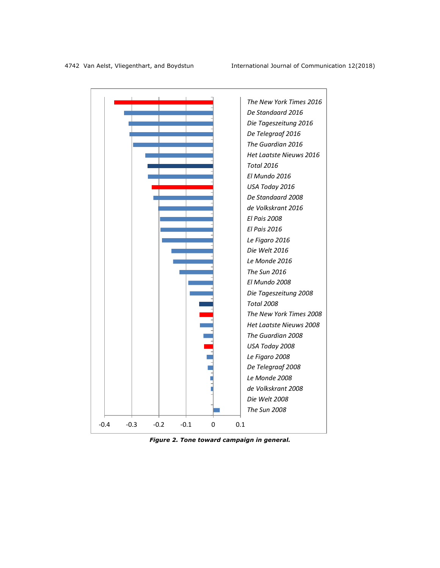

*Figure 2. Tone toward campaign in general.*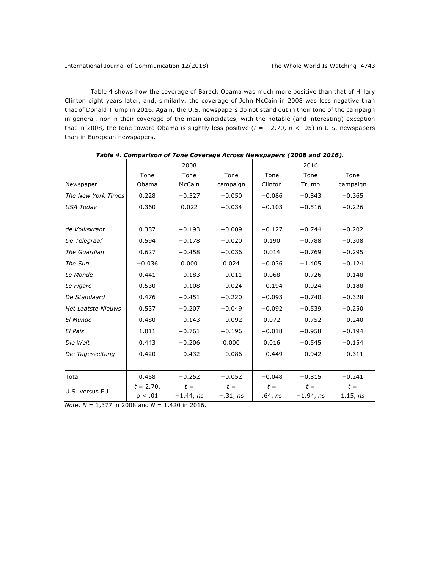Table 4 shows how the coverage of Barack Obama was much more positive than that of Hillary Clinton eight years later, and, similarly, the coverage of John McCain in 2008 was less negative than that of Donald Trump in 2016. Again, the U.S. newspapers do not stand out in their tone of the campaign in general, nor in their coverage of the main candidates, with the notable (and interesting) exception that in 2008, the tone toward Obama is slightly less positive (*t* = −2.70, *p* < .05) in U.S. newspapers than in European newspapers.

|                           |              | 2008        |            |          | 2016        |          |
|---------------------------|--------------|-------------|------------|----------|-------------|----------|
|                           | Tone         | Tone        | Tone       | Tone     | Tone        | Tone     |
| Newspaper                 | Obama        | McCain      | campaign   | Clinton  | Trump       | campaign |
| The New York Times        | 0.228        | $-0.327$    | $-0.050$   | $-0.086$ | $-0.843$    | $-0.365$ |
| USA Today                 | 0.360        | 0.022       | $-0.034$   | $-0.103$ | $-0.516$    | $-0.226$ |
|                           |              |             |            |          |             |          |
| de Volkskrant             | 0.387        | $-0.193$    | $-0.009$   | $-0.127$ | $-0.744$    | $-0.202$ |
| De Telegraaf              | 0.594        | $-0.178$    | $-0.020$   | 0.190    | $-0.788$    | $-0.308$ |
| The Guardian              | 0.627        | $-0.458$    | $-0.036$   | 0.014    | $-0.769$    | $-0.295$ |
| The Sun                   | $-0.036$     | 0.000       | 0.024      | $-0.036$ | $-1.405$    | $-0.124$ |
| Le Monde                  | 0.441        | $-0.183$    | $-0.011$   | 0.068    | $-0.726$    | $-0.148$ |
| Le Figaro                 | 0.530        | $-0.108$    | $-0.024$   | $-0.194$ | $-0.924$    | $-0.188$ |
| De Standaard              | 0.476        | $-0.451$    | $-0.220$   | $-0.093$ | $-0.740$    | $-0.328$ |
| <b>Het Laatste Nieuws</b> | 0.537        | $-0.207$    | $-0.049$   | $-0.092$ | $-0.539$    | $-0.250$ |
| El Mundo                  | 0.480        | $-0.143$    | $-0.092$   | 0.072    | $-0.752$    | $-0.240$ |
| El Pais                   | 1.011        | $-0.761$    | $-0.196$   | $-0.018$ | $-0.958$    | $-0.194$ |
| Die Welt                  | 0.443        | $-0.206$    | 0.000      | 0.016    | $-0.545$    | $-0.154$ |
| Die Tageszeitung          | 0.420        | $-0.432$    | $-0.086$   | $-0.449$ | $-0.942$    | $-0.311$ |
|                           |              |             |            |          |             |          |
| Total                     | 0.458        | $-0.252$    | $-0.052$   | $-0.048$ | $-0.815$    | $-0.241$ |
| U.S. versus EU            | $t = 2.70$ , | $t =$       | $t =$      | $t =$    | $t =$       | $t =$    |
|                           | p < .01      | $-1.44, ns$ | $-.31, ns$ | .64, ns  | $-1.94, ns$ | 1.15, ns |

*Table 4. Comparison of Tone Coverage Across Newspapers (2008 and 2016).*

*Note*. *N* = 1,377 in 2008 and *N* = 1,420 in 2016.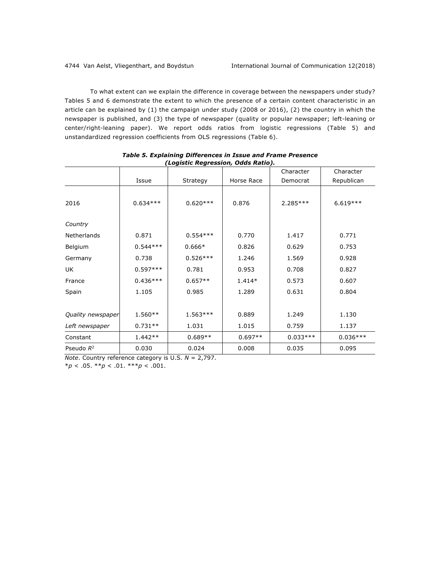To what extent can we explain the difference in coverage between the newspapers under study? Tables 5 and 6 demonstrate the extent to which the presence of a certain content characteristic in an article can be explained by (1) the campaign under study (2008 or 2016), (2) the country in which the newspaper is published, and (3) the type of newspaper (quality or popular newspaper; left-leaning or center/right-leaning paper). We report odds ratios from logistic regressions (Table 5) and unstandardized regression coefficients from OLS regressions (Table 6).

|                   |            | (Logistic negression) baas natio <sub>f</sub> : |            | Character  | Character  |
|-------------------|------------|-------------------------------------------------|------------|------------|------------|
|                   | Issue      | Strategy                                        | Horse Race | Democrat   | Republican |
|                   |            |                                                 |            |            |            |
| 2016              | $0.634***$ | $0.620***$                                      | 0.876      | $2.285***$ | $6.619***$ |
| Country           |            |                                                 |            |            |            |
| Netherlands       | 0.871      | $0.554***$                                      | 0.770      | 1.417      | 0.771      |
| Belgium           | $0.544***$ | $0.666*$                                        | 0.826      | 0.629      | 0.753      |
| Germany           | 0.738      | $0.526***$                                      | 1.246      | 1.569      | 0.928      |
| UK                | $0.597***$ | 0.781                                           | 0.953      | 0.708      | 0.827      |
| France            | $0.436***$ | $0.657**$                                       | $1.414*$   | 0.573      | 0.607      |
| Spain             | 1.105      | 0.985                                           | 1.289      | 0.631      | 0.804      |
|                   |            |                                                 |            |            |            |
| Quality newspaper | $1.560**$  | $1.563***$                                      | 0.889      | 1.249      | 1.130      |
| Left newspaper    | $0.731**$  | 1.031                                           | 1.015      | 0.759      | 1.137      |
| Constant          | $1.442**$  | $0.689**$                                       | $0.697**$  | $0.033***$ | $0.036***$ |
| Pseudo $R^2$      | 0.030      | 0.024                                           | 0.008      | 0.035      | 0.095      |

*Table 5. Explaining Differences in Issue and Frame Presence (Logistic Regression, Odds Ratio).*

*Note*. Country reference category is U.S. *N* = 2,797.

\**p* < .05. \*\**p* < .01. \*\*\**p* < .001.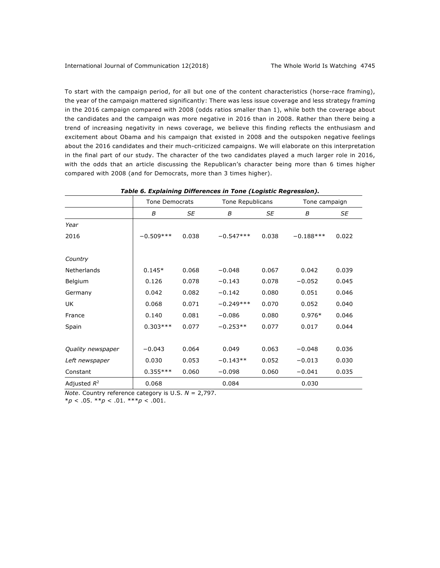To start with the campaign period, for all but one of the content characteristics (horse-race framing), the year of the campaign mattered significantly: There was less issue coverage and less strategy framing in the 2016 campaign compared with 2008 (odds ratios smaller than 1), while both the coverage about the candidates and the campaign was more negative in 2016 than in 2008. Rather than there being a trend of increasing negativity in news coverage, we believe this finding reflects the enthusiasm and excitement about Obama and his campaign that existed in 2008 and the outspoken negative feelings about the 2016 candidates and their much-criticized campaigns. We will elaborate on this interpretation in the final part of our study. The character of the two candidates played a much larger role in 2016, with the odds that an article discussing the Republican's character being more than 6 times higher compared with 2008 (and for Democrats, more than 3 times higher).

|                    | <b>Tone Democrats</b> |       | Tone Republicans |           | Tone campaign |       |
|--------------------|-----------------------|-------|------------------|-----------|---------------|-------|
|                    | B                     | SE    | B                | <b>SE</b> | B             | SE    |
| Year               |                       |       |                  |           |               |       |
| 2016               | $-0.509***$           | 0.038 | $-0.547***$      | 0.038     | $-0.188***$   | 0.022 |
| Country            |                       |       |                  |           |               |       |
| <b>Netherlands</b> | $0.145*$              | 0.068 | $-0.048$         | 0.067     | 0.042         | 0.039 |
| Belgium            | 0.126                 | 0.078 | $-0.143$         | 0.078     | $-0.052$      | 0.045 |
| Germany            | 0.042                 | 0.082 | $-0.142$         | 0.080     | 0.051         | 0.046 |
| UK                 | 0.068                 | 0.071 | $-0.249***$      | 0.070     | 0.052         | 0.040 |
| France             | 0.140                 | 0.081 | $-0.086$         | 0.080     | $0.976*$      | 0.046 |
| Spain              | $0.303***$            | 0.077 | $-0.253**$       | 0.077     | 0.017         | 0.044 |
| Quality newspaper  | $-0.043$              | 0.064 | 0.049            | 0.063     | $-0.048$      | 0.036 |
| Left newspaper     | 0.030                 | 0.053 | $-0.143**$       | 0.052     | $-0.013$      | 0.030 |
| Constant           | $0.355***$            | 0.060 | $-0.098$         | 0.060     | $-0.041$      | 0.035 |
| Adjusted $R^2$     | 0.068                 |       | 0.084            |           | 0.030         |       |

| Table 6. Explaining Differences in Tone (Logistic Regression). |
|----------------------------------------------------------------|
|----------------------------------------------------------------|

*Note*. Country reference category is U.S. *N* = 2,797.

\**p* < .05. \*\**p* < .01. \*\*\**p* < .001.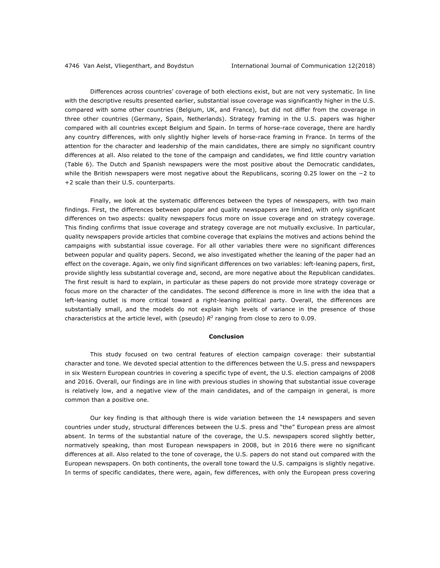Differences across countries' coverage of both elections exist, but are not very systematic. In line with the descriptive results presented earlier, substantial issue coverage was significantly higher in the U.S. compared with some other countries (Belgium, UK, and France), but did not differ from the coverage in three other countries (Germany, Spain, Netherlands). Strategy framing in the U.S. papers was higher compared with all countries except Belgium and Spain. In terms of horse-race coverage, there are hardly any country differences, with only slightly higher levels of horse-race framing in France. In terms of the attention for the character and leadership of the main candidates, there are simply no significant country differences at all. Also related to the tone of the campaign and candidates, we find little country variation (Table 6). The Dutch and Spanish newspapers were the most positive about the Democratic candidates, while the British newspapers were most negative about the Republicans, scoring 0.25 lower on the −2 to +2 scale than their U.S. counterparts.

Finally, we look at the systematic differences between the types of newspapers, with two main findings. First, the differences between popular and quality newspapers are limited, with only significant differences on two aspects: quality newspapers focus more on issue coverage and on strategy coverage. This finding confirms that issue coverage and strategy coverage are not mutually exclusive. In particular, quality newspapers provide articles that combine coverage that explains the motives and actions behind the campaigns with substantial issue coverage. For all other variables there were no significant differences between popular and quality papers. Second, we also investigated whether the leaning of the paper had an effect on the coverage. Again, we only find significant differences on two variables: left-leaning papers, first, provide slightly less substantial coverage and, second, are more negative about the Republican candidates. The first result is hard to explain, in particular as these papers do not provide more strategy coverage or focus more on the character of the candidates. The second difference is more in line with the idea that a left-leaning outlet is more critical toward a right-leaning political party. Overall, the differences are substantially small, and the models do not explain high levels of variance in the presence of those characteristics at the article level, with (pseudo)  $R^2$  ranging from close to zero to 0.09.

#### **Conclusion**

This study focused on two central features of election campaign coverage: their substantial character and tone. We devoted special attention to the differences between the U.S. press and newspapers in six Western European countries in covering a specific type of event, the U.S. election campaigns of 2008 and 2016. Overall, our findings are in line with previous studies in showing that substantial issue coverage is relatively low, and a negative view of the main candidates, and of the campaign in general, is more common than a positive one.

Our key finding is that although there is wide variation between the 14 newspapers and seven countries under study, structural differences between the U.S. press and "the" European press are almost absent. In terms of the substantial nature of the coverage, the U.S. newspapers scored slightly better, normatively speaking, than most European newspapers in 2008, but in 2016 there were no significant differences at all. Also related to the tone of coverage, the U.S. papers do not stand out compared with the European newspapers. On both continents, the overall tone toward the U.S. campaigns is slightly negative. In terms of specific candidates, there were, again, few differences, with only the European press covering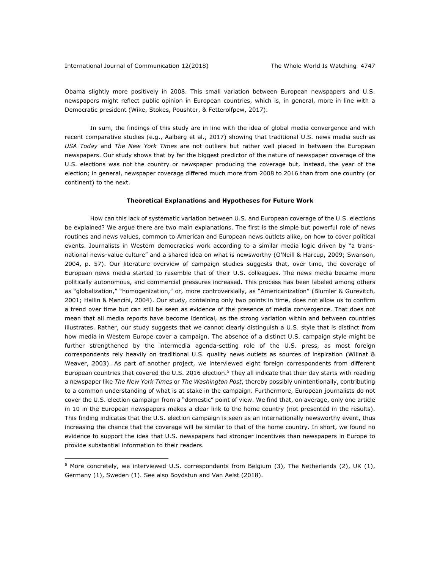#### International Journal of Communication 12(2018) The Whole World Is Watching 4747

 $\overline{a}$ 

Obama slightly more positively in 2008. This small variation between European newspapers and U.S. newspapers might reflect public opinion in European countries, which is, in general, more in line with a Democratic president (Wike, Stokes, Poushter, & Fetterolfpew, 2017).

In sum, the findings of this study are in line with the idea of global media convergence and with recent comparative studies (e.g., Aalberg et al., 2017) showing that traditional U.S. news media such as *USA Today* and *The New York Times* are not outliers but rather well placed in between the European newspapers. Our study shows that by far the biggest predictor of the nature of newspaper coverage of the U.S. elections was not the country or newspaper producing the coverage but, instead, the year of the election; in general, newspaper coverage differed much more from 2008 to 2016 than from one country (or continent) to the next.

#### **Theoretical Explanations and Hypotheses for Future Work**

How can this lack of systematic variation between U.S. and European coverage of the U.S. elections be explained? We argue there are two main explanations. The first is the simple but powerful role of news routines and news values, common to American and European news outlets alike, on how to cover political events. Journalists in Western democracies work according to a similar media logic driven by "a transnational news-value culture" and a shared idea on what is newsworthy (O'Neill & Harcup, 2009; Swanson, 2004, p. 57). Our literature overview of campaign studies suggests that, over time, the coverage of European news media started to resemble that of their U.S. colleagues. The news media became more politically autonomous, and commercial pressures increased. This process has been labeled among others as "globalization," "homogenization," or, more controversially, as "Americanization" (Blumler & Gurevitch, 2001; Hallin & Mancini, 2004). Our study, containing only two points in time, does not allow us to confirm a trend over time but can still be seen as evidence of the presence of media convergence. That does not mean that all media reports have become identical, as the strong variation within and between countries illustrates. Rather, our study suggests that we cannot clearly distinguish a U.S. style that is distinct from how media in Western Europe cover a campaign. The absence of a distinct U.S. campaign style might be further strengthened by the intermedia agenda-setting role of the U.S. press, as most foreign correspondents rely heavily on traditional U.S. quality news outlets as sources of inspiration (Willnat & Weaver, 2003). As part of another project, we interviewed eight foreign correspondents from different European countries that covered the U.S. 2016 election.<sup>5</sup> They all indicate that their day starts with reading a newspaper like *The New York Times* or *The Washington Post*, thereby possibly unintentionally, contributing to a common understanding of what is at stake in the campaign. Furthermore, European journalists do not cover the U.S. election campaign from a "domestic" point of view. We find that, on average, only one article in 10 in the European newspapers makes a clear link to the home country (not presented in the results). This finding indicates that the U.S. election campaign is seen as an internationally newsworthy event, thus increasing the chance that the coverage will be similar to that of the home country. In short, we found no evidence to support the idea that U.S. newspapers had stronger incentives than newspapers in Europe to provide substantial information to their readers.

<sup>5</sup> More concretely, we interviewed U.S. correspondents from Belgium (3), The Netherlands (2), UK (1), Germany (1), Sweden (1). See also Boydstun and Van Aelst (2018).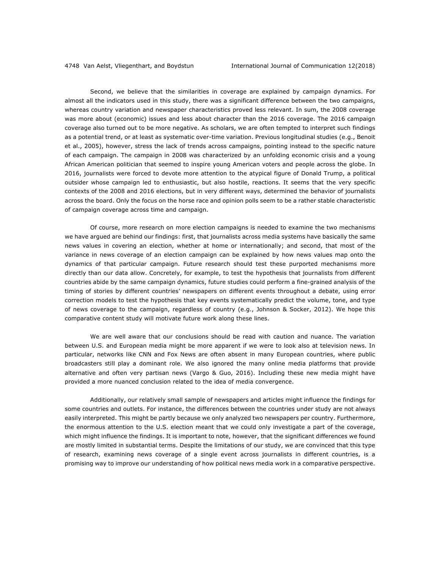Second, we believe that the similarities in coverage are explained by campaign dynamics. For almost all the indicators used in this study, there was a significant difference between the two campaigns, whereas country variation and newspaper characteristics proved less relevant. In sum, the 2008 coverage was more about (economic) issues and less about character than the 2016 coverage. The 2016 campaign coverage also turned out to be more negative. As scholars, we are often tempted to interpret such findings as a potential trend, or at least as systematic over-time variation. Previous longitudinal studies (e.g., Benoit et al., 2005), however, stress the lack of trends across campaigns, pointing instead to the specific nature of each campaign. The campaign in 2008 was characterized by an unfolding economic crisis and a young African American politician that seemed to inspire young American voters and people across the globe. In 2016, journalists were forced to devote more attention to the atypical figure of Donald Trump, a political outsider whose campaign led to enthusiastic, but also hostile, reactions. It seems that the very specific contexts of the 2008 and 2016 elections, but in very different ways, determined the behavior of journalists across the board. Only the focus on the horse race and opinion polls seem to be a rather stable characteristic of campaign coverage across time and campaign.

Of course, more research on more election campaigns is needed to examine the two mechanisms we have argued are behind our findings: first, that journalists across media systems have basically the same news values in covering an election, whether at home or internationally; and second, that most of the variance in news coverage of an election campaign can be explained by how news values map onto the dynamics of that particular campaign. Future research should test these purported mechanisms more directly than our data allow. Concretely, for example, to test the hypothesis that journalists from different countries abide by the same campaign dynamics, future studies could perform a fine-grained analysis of the timing of stories by different countries' newspapers on different events throughout a debate, using error correction models to test the hypothesis that key events systematically predict the volume, tone, and type of news coverage to the campaign, regardless of country (e.g., Johnson & Socker, 2012). We hope this comparative content study will motivate future work along these lines.

We are well aware that our conclusions should be read with caution and nuance. The variation between U.S. and European media might be more apparent if we were to look also at television news. In particular, networks like CNN and Fox News are often absent in many European countries, where public broadcasters still play a dominant role. We also ignored the many online media platforms that provide alternative and often very partisan news (Vargo & Guo, 2016). Including these new media might have provided a more nuanced conclusion related to the idea of media convergence.

Additionally, our relatively small sample of newspapers and articles might influence the findings for some countries and outlets. For instance, the differences between the countries under study are not always easily interpreted. This might be partly because we only analyzed two newspapers per country. Furthermore, the enormous attention to the U.S. election meant that we could only investigate a part of the coverage, which might influence the findings. It is important to note, however, that the significant differences we found are mostly limited in substantial terms. Despite the limitations of our study, we are convinced that this type of research, examining news coverage of a single event across journalists in different countries, is a promising way to improve our understanding of how political news media work in a comparative perspective.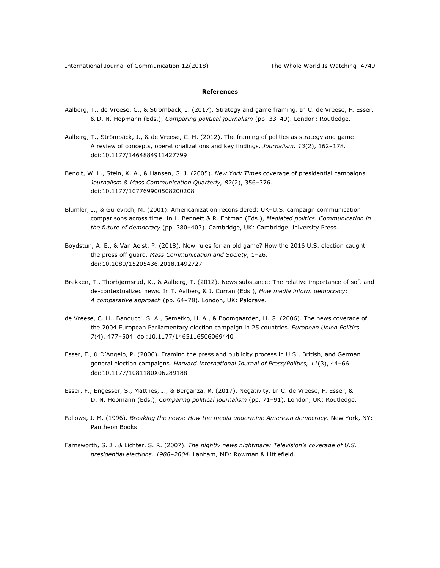### **References**

- Aalberg, T., de Vreese, C., & Strömbäck, J. (2017). Strategy and game framing. In C. de Vreese, F. Esser, & D. N. Hopmann (Eds.), *Comparing political journalism* (pp. 33‒49). London: Routledge.
- Aalberg, T., Strömbäck, J., & de Vreese, C. H. (2012). The framing of politics as strategy and game: A review of concepts, operationalizations and key findings. *Journalism*, 13(2), 162-178. doi:10.1177/1464884911427799
- Benoit, W. L., Stein, K. A., & Hansen, G. J. (2005). *New York Times* coverage of presidential campaigns. Journalism & Mass Communication Quarterly, 82(2), 356-376. doi:10.1177/107769900508200208
- Blumler, J., & Gurevitch, M. (2001). Americanization reconsidered: UK-U.S. campaign communication comparisons across time. In L. Bennett & R. Entman (Eds.), *Mediated politics. Communication in the future of democracy* (pp. 380‒403). Cambridge, UK: Cambridge University Press.
- Boydstun, A. E., & Van Aelst, P. (2018). New rules for an old game? How the 2016 U.S. election caught the press off guard. *Mass Communication and Society*, 1‒26. doi:10.1080/15205436.2018.1492727
- Brekken, T., Thorbjørnsrud, K., & Aalberg, T. (2012). News substance: The relative importance of soft and de-contextualized news. In T. Aalberg & J. Curran (Eds.), *How media inform democracy: A comparative approach* (pp. 64‒78). London, UK: Palgrave.
- de Vreese, C. H., Banducci, S. A., Semetko, H. A., & Boomgaarden, H. G. (2006). The news coverage of the 2004 European Parliamentary election campaign in 25 countries. *European Union Politics 7*(4), 477‒504. doi:10.1177/1465116506069440
- Esser, F., & D'Angelo, P. (2006). Framing the press and publicity process in U.S., British, and German general election campaigns. *Harvard International Journal of Press/Politics, 11*(3), 44-66. doi:10.1177/1081180X06289188
- Esser, F., Engesser, S., Matthes, J., & Berganza, R. (2017). Negativity. In C. de Vreese, F. Esser, & D. N. Hopmann (Eds.), *Comparing political journalism* (pp. 71-91). London, UK: Routledge.
- Fallows, J. M. (1996). *Breaking the news: How the media undermine American democracy*. New York, NY: Pantheon Books.
- Farnsworth, S. J., & Lichter, S. R. (2007). *The nightly news nightmare: Television's coverage of U.S. presidential elections, 1988‒2004*. Lanham, MD: Rowman & Littlefield.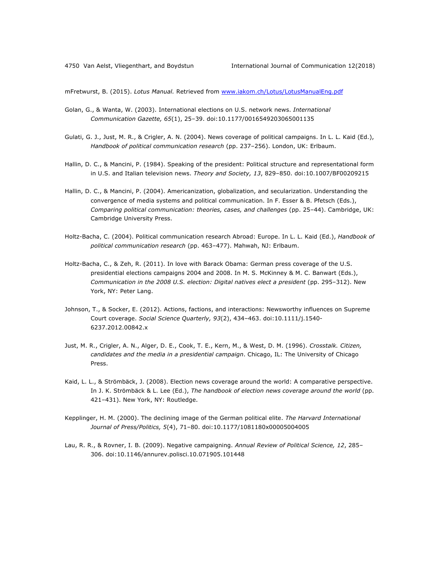mFretwurst, B. (2015). *Lotus Manual.* Retrieved from www.iakom.ch/Lotus/LotusManualEng.pdf

- Golan, G., & Wanta, W. (2003). International elections on U.S. network news. *International Communication Gazette, 65*(1), 25‒39. doi:10.1177/0016549203065001135
- Gulati, G. J., Just, M. R., & Crigler, A. N. (2004). News coverage of political campaigns. In L. L. Kaid (Ed.), *Handbook of political communication research* (pp. 237‒256). London, UK: Erlbaum.
- Hallin, D. C., & Mancini, P. (1984). Speaking of the president: Political structure and representational form in U.S. and Italian television news. *Theory and Society, 13*, 829-850. doi:10.1007/BF00209215
- Hallin, D. C., & Mancini, P. (2004). Americanization, globalization, and secularization. Understanding the convergence of media systems and political communication. In F. Esser & B. Pfetsch (Eds.), *Comparing political communication: theories, cases, and challenges* (pp. 25‒44). Cambridge, UK: Cambridge University Press.
- Holtz-Bacha, C. (2004). Political communication research Abroad: Europe. In L. L. Kaid (Ed.), *Handbook of political communication research* (pp. 463‒477). Mahwah, NJ: Erlbaum.
- Holtz-Bacha, C., & Zeh, R. (2011). In love with Barack Obama: German press coverage of the U.S. presidential elections campaigns 2004 and 2008. In M. S. McKinney & M. C. Banwart (Eds.), Communication in the 2008 U.S. election: Digital natives elect a president (pp. 295-312). New York, NY: Peter Lang.
- Johnson, T., & Socker, E. (2012). Actions, factions, and interactions: Newsworthy influences on Supreme Court coverage. *Social Science Quarterly, 93*(2), 434‒463. doi:10.1111/j.1540- 6237.2012.00842.x
- Just, M. R., Crigler, A. N., Alger, D. E., Cook, T. E., Kern, M., & West, D. M. (1996). *Crosstalk. Citizen, candidates and the media in a presidential campaign*. Chicago, IL: The University of Chicago Press.
- Kaid, L. L., & Strömbäck, J. (2008). Election news coverage around the world: A comparative perspective. In J. K. Strömbäck & L. Lee (Ed.), *The handbook of election news coverage around the world* (pp. 421-431). New York, NY: Routledge.
- Kepplinger, H. M. (2000). The declining image of the German political elite. *The Harvard International Journal of Press/Politics, 5*(4), 71‒80. doi:10.1177/1081180x00005004005
- Lau, R. R., & Rovner, I. B. (2009). Negative campaigning. Annual Review of Political Science, 12, 285-306. doi:10.1146/annurev.polisci.10.071905.101448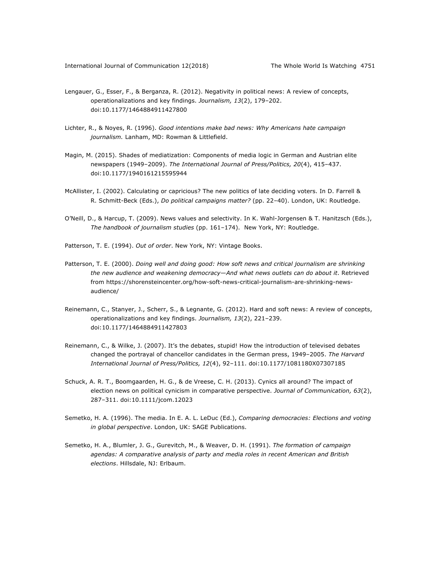- Lengauer, G., Esser, F., & Berganza, R. (2012). Negativity in political news: A review of concepts, operationalizations and key findings. *Journalism, 13*(2), 179-202. doi:10.1177/1464884911427800
- Lichter, R., & Noyes, R. (1996). *Good intentions make bad news: Why Americans hate campaign journalism.* Lanham, MD: Rowman & Littlefield.
- Magin, M. (2015). Shades of mediatization: Components of media logic in German and Austrian elite newspapers (1949–2009). *The International Journal of Press/Politics, 20*(4), 415–437. doi:10.1177/1940161215595944
- McAllister, I. (2002). Calculating or capricious? The new politics of late deciding voters. In D. Farrell & R. Schmitt-Beck (Eds.), *Do political campaigns matter?* (pp. 22-40). London, UK: Routledge.
- O'Neill, D., & Harcup, T. (2009). News values and selectivity. In K. Wahl-Jorgensen & T. Hanitzsch (Eds.), *The handbook of journalism studies* (pp. 161-174). New York, NY: Routledge.
- Patterson, T. E. (1994). *Out of order*. New York, NY: Vintage Books.
- Patterson, T. E. (2000). *Doing well and doing good: How soft news and critical journalism are shrinking the new audience and weakening democracy—And what news outlets can do about it*. Retrieved from https://shorensteincenter.org/how-soft-news-critical-journalism-are-shrinking-newsaudience/
- Reinemann, C., Stanyer, J., Scherr, S., & Legnante, G. (2012). Hard and soft news: A review of concepts, operationalizations and key findings. *Journalism*, 13(2), 221-239. doi:10.1177/1464884911427803
- Reinemann, C., & Wilke, J. (2007). It's the debates, stupid! How the introduction of televised debates changed the portrayal of chancellor candidates in the German press, 1949-2005. The Harvard *International Journal of Press/Politics, 12*(4), 92‒111. doi:10.1177/1081180X07307185
- Schuck, A. R. T., Boomgaarden, H. G., & de Vreese, C. H. (2013). Cynics all around? The impact of election news on political cynicism in comparative perspective. *Journal of Communication, 63*(2), 287‒311. doi:10.1111/jcom.12023
- Semetko, H. A. (1996). The media. In E. A. L. LeDuc (Ed.), *Comparing democracies: Elections and voting in global perspective*. London, UK: SAGE Publications.
- Semetko, H. A., Blumler, J. G., Gurevitch, M., & Weaver, D. H. (1991). *The formation of campaign agendas: A comparative analysis of party and media roles in recent American and British elections*. Hillsdale, NJ: Erlbaum.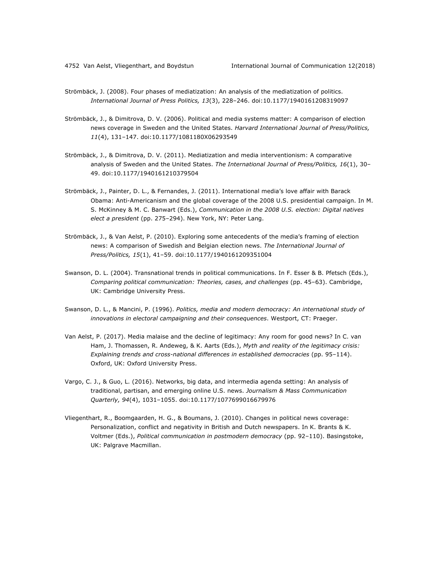- Strömbäck, J. (2008). Four phases of mediatization: An analysis of the mediatization of politics. *International Journal of Press Politics, 13*(3), 228‒246. doi:10.1177/1940161208319097
- Strömbäck, J., & Dimitrova, D. V. (2006). Political and media systems matter: A comparison of election news coverage in Sweden and the United States. *Harvard International Journal of Press/Politics, 11*(4), 131‒147. doi:10.1177/1081180X06293549
- Strömbäck, J., & Dimitrova, D. V. (2011). Mediatization and media interventionism: A comparative analysis of Sweden and the United States. *The International Journal of Press/Politics, 16*(1), 30-49. doi:10.1177/1940161210379504
- Strömbäck, J., Painter, D. L., & Fernandes, J. (2011). International media's love affair with Barack Obama: Anti-Americanism and the global coverage of the 2008 U.S. presidential campaign. In M. S. McKinney & M. C. Banwart (Eds.), *Communication in the 2008 U.S. election: Digital natives elect a president* (pp. 275-294). New York, NY: Peter Lang.
- Strömbäck, J., & Van Aelst, P. (2010). Exploring some antecedents of the media's framing of election news: A comparison of Swedish and Belgian election news. *The International Journal of Press/Politics, 15*(1), 41‒59. doi:10.1177/1940161209351004
- Swanson, D. L. (2004). Transnational trends in political communications. In F. Esser & B. Pfetsch (Eds.), *Comparing political communication: Theories, cases, and challenges* (pp. 45–63). Cambridge, UK: Cambridge University Press.
- Swanson, D. L., & Mancini, P. (1996). *Politics, media and modern democracy: An international study of innovations in electoral campaigning and their consequences*. Westport, CT: Praeger.
- Van Aelst, P. (2017). Media malaise and the decline of legitimacy: Any room for good news? In C. van Ham, J. Thomassen, R. Andeweg, & K. Aarts (Eds.), *Myth and reality of the legitimacy crisis:*  Explaining trends and cross-national differences in established democracies (pp. 95-114). Oxford, UK: Oxford University Press.
- Vargo, C. J., & Guo, L. (2016). Networks, big data, and intermedia agenda setting: An analysis of traditional, partisan, and emerging online U.S. news. *Journalism & Mass Communication Quarterly, 94*(4), 1031‒1055. doi:10.1177/1077699016679976
- Vliegenthart, R., Boomgaarden, H. G., & Boumans, J. (2010). Changes in political news coverage: Personalization, conflict and negativity in British and Dutch newspapers. In K. Brants & K. Voltmer (Eds.), *Political communication in postmodern democracy* (pp. 92-110). Basingstoke, UK: Palgrave Macmillan.